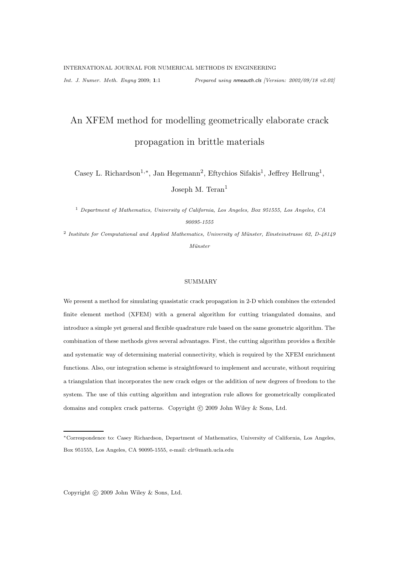# An XFEM method for modelling geometrically elaborate crack propagation in brittle materials

Casey L. Richardson<sup>1,\*</sup>, Jan Hegemann<sup>2</sup>, Eftychios Sifakis<sup>1</sup>, Jeffrey Hellrung<sup>1</sup>, Joseph M. Teran<sup>1</sup>

<sup>1</sup> Department of Mathematics, University of California, Los Angeles, Box 951555, Los Angeles, CA 90095-1555

<sup>2</sup> Institute for Computational and Applied Mathematics, University of Münster, Einsteinstrasse 62, D-48149 Münster

#### SUMMARY

We present a method for simulating quasistatic crack propagation in 2-D which combines the extended finite element method (XFEM) with a general algorithm for cutting triangulated domains, and introduce a simple yet general and flexible quadrature rule based on the same geometric algorithm. The combination of these methods gives several advantages. First, the cutting algorithm provides a flexible and systematic way of determining material connectivity, which is required by the XFEM enrichment functions. Also, our integration scheme is straightfoward to implement and accurate, without requiring a triangulation that incorporates the new crack edges or the addition of new degrees of freedom to the system. The use of this cutting algorithm and integration rule allows for geometrically complicated domains and complex crack patterns. Copyright  $\odot$  2009 John Wiley & Sons, Ltd.

Copyright © 2009 John Wiley & Sons, Ltd.

<sup>∗</sup>Correspondence to: Casey Richardson, Department of Mathematics, University of California, Los Angeles, Box 951555, Los Angeles, CA 90095-1555, e-mail: clr@math.ucla.edu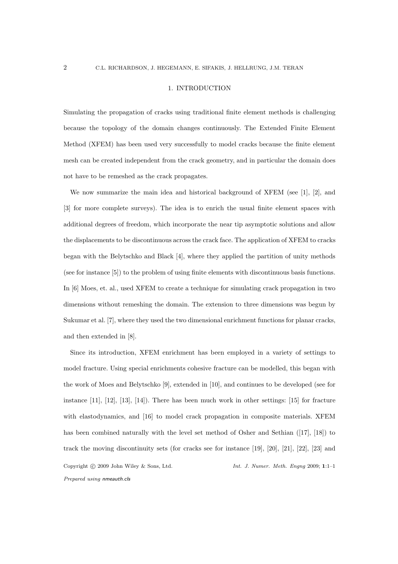#### 1. INTRODUCTION

Simulating the propagation of cracks using traditional finite element methods is challenging because the topology of the domain changes continuously. The Extended Finite Element Method (XFEM) has been used very successfully to model cracks because the finite element mesh can be created independent from the crack geometry, and in particular the domain does not have to be remeshed as the crack propagates.

We now summarize the main idea and historical background of XFEM (see [1], [2], and [3] for more complete surveys). The idea is to enrich the usual finite element spaces with additional degrees of freedom, which incorporate the near tip asymptotic solutions and allow the displacements to be discontinuous across the crack face. The application of XFEM to cracks began with the Belytschko and Black [4], where they applied the partition of unity methods (see for instance [5]) to the problem of using finite elements with discontinuous basis functions. In [6] Moes, et. al., used XFEM to create a technique for simulating crack propagation in two dimensions without remeshing the domain. The extension to three dimensions was begun by Sukumar et al. [7], where they used the two dimensional enrichment functions for planar cracks, and then extended in [8].

Since its introduction, XFEM enrichment has been employed in a variety of settings to model fracture. Using special enrichments cohesive fracture can be modelled, this began with the work of Moes and Belytschko [9], extended in [10], and continues to be developed (see for instance [11], [12], [13], [14]). There has been much work in other settings: [15] for fracture with elastodynamics, and [16] to model crack propagation in composite materials. XFEM has been combined naturally with the level set method of Osher and Sethian ([17], [18]) to track the moving discontinuity sets (for cracks see for instance [19], [20], [21], [22], [23] and Copyright © 2009 John Wiley & Sons, Ltd. Int. J. Numer. Meth. Engng 2009; 1:1-1 Prepared using nmeauth.cls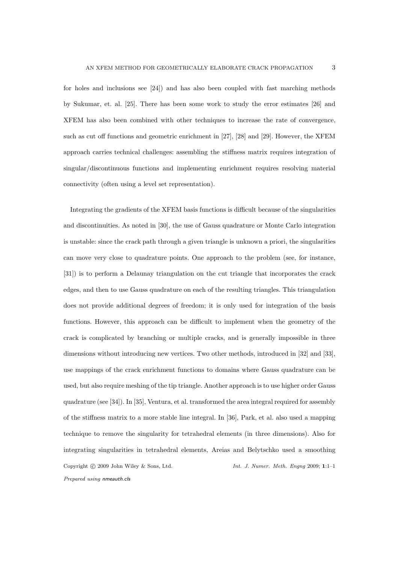for holes and inclusions see [24]) and has also been coupled with fast marching methods by Sukumar, et. al. [25]. There has been some work to study the error estimates [26] and XFEM has also been combined with other techniques to increase the rate of convergence, such as cut off functions and geometric enrichment in [27], [28] and [29]. However, the XFEM approach carries technical challenges: assembling the stiffness matrix requires integration of singular/discontinuous functions and implementing enrichment requires resolving material connectivity (often using a level set representation).

Integrating the gradients of the XFEM basis functions is difficult because of the singularities and discontinuities. As noted in [30], the use of Gauss quadrature or Monte Carlo integration is unstable: since the crack path through a given triangle is unknown a priori, the singularities can move very close to quadrature points. One approach to the problem (see, for instance, [31]) is to perform a Delaunay triangulation on the cut triangle that incorporates the crack edges, and then to use Gauss quadrature on each of the resulting triangles. This triangulation does not provide additional degrees of freedom; it is only used for integration of the basis functions. However, this approach can be difficult to implement when the geometry of the crack is complicated by branching or multiple cracks, and is generally impossible in three dimensions without introducing new vertices. Two other methods, introduced in [32] and [33], use mappings of the crack enrichment functions to domains where Gauss quadrature can be used, but also require meshing of the tip triangle. Another approach is to use higher order Gauss quadrature (see [34]). In [35], Ventura, et al. transformed the area integral required for assembly of the stiffness matrix to a more stable line integral. In [36], Park, et al. also used a mapping technique to remove the singularity for tetrahedral elements (in three dimensions). Also for integrating singularities in tetrahedral elements, Areias and Belytschko used a smoothing Copyright  $\odot$  2009 John Wiley & Sons, Ltd. Int. J. Numer. Meth. Engng 2009; 1:1-1 Prepared using nmeauth.cls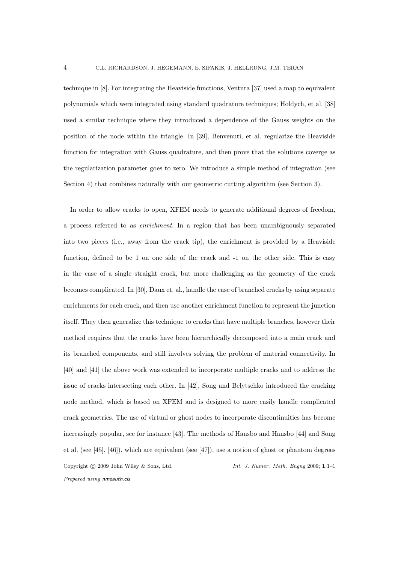technique in [8]. For integrating the Heaviside functions, Ventura [37] used a map to equivalent polynomials which were integrated using standard quadrature techniques; Holdych, et al. [38] used a similar technique where they introduced a dependence of the Gauss weights on the position of the node within the triangle. In [39], Benvenuti, et al. regularize the Heaviside function for integration with Gauss quadrature, and then prove that the solutions coverge as the regularization parameter goes to zero. We introduce a simple method of integration (see Section 4) that combines naturally with our geometric cutting algorithm (see Section 3).

In order to allow cracks to open, XFEM needs to generate additional degrees of freedom, a process referred to as enrichment. In a region that has been unambiguously separated into two pieces (i.e., away from the crack tip), the enrichment is provided by a Heaviside function, defined to be 1 on one side of the crack and -1 on the other side. This is easy in the case of a single straight crack, but more challenging as the geometry of the crack becomes complicated. In [30], Daux et. al., handle the case of branched cracks by using separate enrichments for each crack, and then use another enrichment function to represent the junction itself. They then generalize this technique to cracks that have multiple branches, however their method requires that the cracks have been hierarchically decomposed into a main crack and its branched components, and still involves solving the problem of material connectivity. In [40] and [41] the above work was extended to incorporate multiple cracks and to address the issue of cracks intersecting each other. In [42], Song and Belytschko introduced the cracking node method, which is based on XFEM and is designed to more easily handle complicated crack geometries. The use of virtual or ghost nodes to incorporate discontinuities has become increasingly popular, see for instance [43]. The methods of Hansbo and Hansbo [44] and Song et al. (see [45], [46]), which are equivalent (see [47]), use a notion of ghost or phantom degrees Copyright  $\odot$  2009 John Wiley & Sons, Ltd. Int. J. Numer. Meth. Engng 2009; 1:1-1 Prepared using nmeauth.cls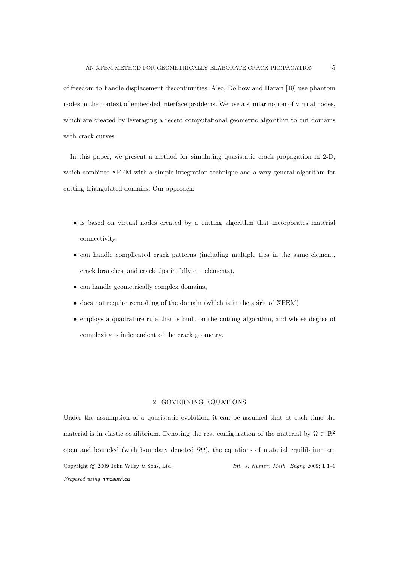of freedom to handle displacement discontinuities. Also, Dolbow and Harari [48] use phantom nodes in the context of embedded interface problems. We use a similar notion of virtual nodes, which are created by leveraging a recent computational geometric algorithm to cut domains with crack curves.

In this paper, we present a method for simulating quasistatic crack propagation in 2-D, which combines XFEM with a simple integration technique and a very general algorithm for cutting triangulated domains. Our approach:

- is based on virtual nodes created by a cutting algorithm that incorporates material connectivity,
- can handle complicated crack patterns (including multiple tips in the same element, crack branches, and crack tips in fully cut elements),
- can handle geometrically complex domains,
- does not require remeshing of the domain (which is in the spirit of XFEM),
- employs a quadrature rule that is built on the cutting algorithm, and whose degree of complexity is independent of the crack geometry.

# 2. GOVERNING EQUATIONS

Under the assumption of a quasistatic evolution, it can be assumed that at each time the material is in elastic equilibrium. Denoting the rest configuration of the material by  $\Omega \subset \mathbb{R}^2$ open and bounded (with boundary denoted  $\partial\Omega$ ), the equations of material equilibrium are Copyright  $\odot$  2009 John Wiley & Sons, Ltd. Int. J. Numer. Meth. Engng 2009; 1:1-1 Prepared using nmeauth.cls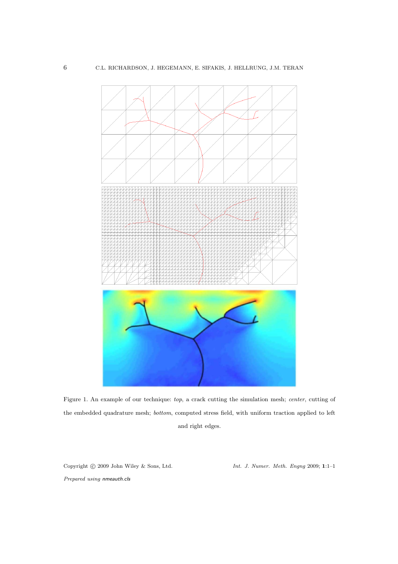

Figure 1. An example of our technique: top, a crack cutting the simulation mesh; center, cutting of the embedded quadrature mesh; bottom, computed stress field, with uniform traction applied to left and right edges.

Copyright  $\odot$  2009 John Wiley & Sons, Ltd. Int. J. Numer. Meth. Engng 2009; 1:1-1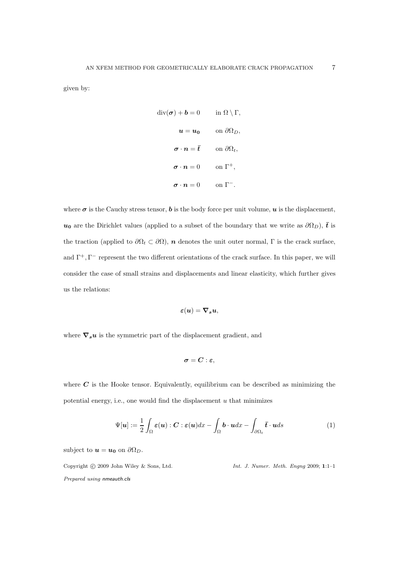given by:

$$
\operatorname{div}(\boldsymbol{\sigma}) + \boldsymbol{b} = 0 \quad \text{in } \Omega \setminus \Gamma,
$$
  

$$
\boldsymbol{u} = \boldsymbol{u_0} \quad \text{on } \partial \Omega_D,
$$
  

$$
\boldsymbol{\sigma} \cdot \boldsymbol{n} = \boldsymbol{\bar{t}} \quad \text{on } \partial \Omega_t,
$$
  

$$
\boldsymbol{\sigma} \cdot \boldsymbol{n} = 0 \quad \text{on } \Gamma^+,
$$
  

$$
\boldsymbol{\sigma} \cdot \boldsymbol{n} = 0 \quad \text{on } \Gamma^-.
$$

where  $\sigma$  is the Cauchy stress tensor, **b** is the body force per unit volume, **u** is the displacement,  $u_0$  are the Dirichlet values (applied to a subset of the boundary that we write as  $\partial\Omega_D$ ),  $\bar{t}$  is the traction (applied to  $\partial\Omega_t \subset \partial\Omega$ ), *n* denotes the unit outer normal, Γ is the crack surface, and  $\Gamma^+$ ,  $\Gamma^-$  represent the two different orientations of the crack surface. In this paper, we will consider the case of small strains and displacements and linear elasticity, which further gives us the relations:

$$
\boldsymbol{\varepsilon}(\boldsymbol{u})=\boldsymbol{\nabla}_{\boldsymbol{s}}\boldsymbol{u},
$$

where  $\nabla_s u$  is the symmetric part of the displacement gradient, and

$$
\pmb{\sigma} = \pmb{C} : \pmb{\varepsilon},
$$

where  $C$  is the Hooke tensor. Equivalently, equilibrium can be described as minimizing the potential energy, i.e., one would find the displacement  $u$  that minimizes

$$
\Psi[\boldsymbol{u}] := \frac{1}{2} \int_{\Omega} \boldsymbol{\varepsilon}(\boldsymbol{u}) : \boldsymbol{C} : \boldsymbol{\varepsilon}(\boldsymbol{u}) dx - \int_{\Omega} \boldsymbol{b} \cdot \boldsymbol{u} dx - \int_{\partial \Omega_t} \boldsymbol{\bar{t}} \cdot \boldsymbol{u} ds \tag{1}
$$

subject to  $u = u_0$  on  $\partial \Omega_D$ .

Copyright  $\odot$  2009 John Wiley & Sons, Ltd. Int. J. Numer. Meth. Engng 2009; 1:1-1 Prepared using nmeauth.cls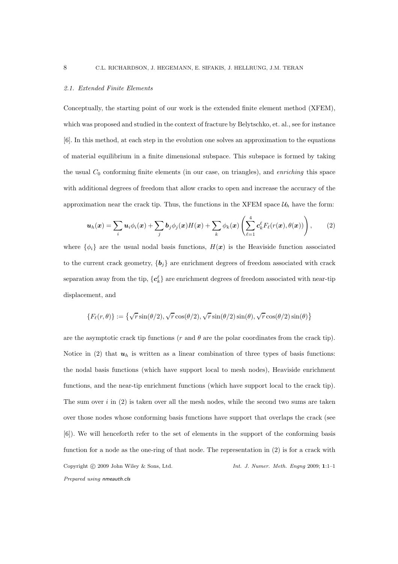#### 2.1. Extended Finite Elements

Conceptually, the starting point of our work is the extended finite element method (XFEM), which was proposed and studied in the context of fracture by Belytschko, et. al., see for instance [6]. In this method, at each step in the evolution one solves an approximation to the equations of material equilibrium in a finite dimensional subspace. This subspace is formed by taking the usual  $C_0$  conforming finite elements (in our case, on triangles), and *enriching* this space with additional degrees of freedom that allow cracks to open and increase the accuracy of the approximation near the crack tip. Thus, the functions in the XFEM space  $\mathcal{U}_h$  have the form:

$$
\boldsymbol{u}_h(\boldsymbol{x}) = \sum_i \boldsymbol{u}_i \phi_i(\boldsymbol{x}) + \sum_j \boldsymbol{b}_j \phi_j(\boldsymbol{x}) H(\boldsymbol{x}) + \sum_k \phi_k(\boldsymbol{x}) \left( \sum_{\ell=1}^4 c_k^{\ell} F_{\ell}(r(\boldsymbol{x}), \theta(\boldsymbol{x})) \right), \qquad (2)
$$

where  $\{\phi_i\}$  are the usual nodal basis functions,  $H(x)$  is the Heaviside function associated to the current crack geometry,  $\{b_i\}$  are enrichment degrees of freedom associated with crack separation away from the tip,  $\{c_k^{\ell}\}$  are enrichment degrees of freedom associated with near-tip displacement, and

$$
\{F_{\ell}(r,\theta)\} := \left\{\sqrt{r}\sin(\theta/2), \sqrt{r}\cos(\theta/2), \sqrt{r}\sin(\theta/2)\sin(\theta), \sqrt{r}\cos(\theta/2)\sin(\theta)\right\}
$$

are the asymptotic crack tip functions ( $r$  and  $\theta$  are the polar coordinates from the crack tip). Notice in (2) that  $u_h$  is written as a linear combination of three types of basis functions: the nodal basis functions (which have support local to mesh nodes), Heaviside enrichment functions, and the near-tip enrichment functions (which have support local to the crack tip). The sum over  $i$  in  $(2)$  is taken over all the mesh nodes, while the second two sums are taken over those nodes whose conforming basis functions have support that overlaps the crack (see [6]). We will henceforth refer to the set of elements in the support of the conforming basis function for a node as the one-ring of that node. The representation in (2) is for a crack with Copyright © 2009 John Wiley & Sons, Ltd. Int. J. Numer. Meth. Engng 2009; 1:1-1 Prepared using nmeauth.cls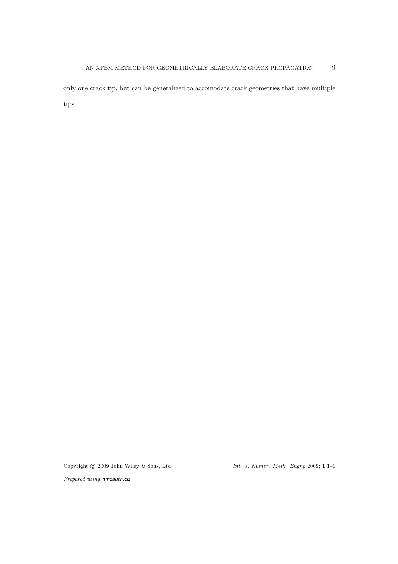only one crack tip, but can be generalized to accomodate crack geometries that have multiple tips.

Copyright © 2009 John Wiley & Sons, Ltd. Int. J. Numer. Meth. Engng 2009; 1:1-1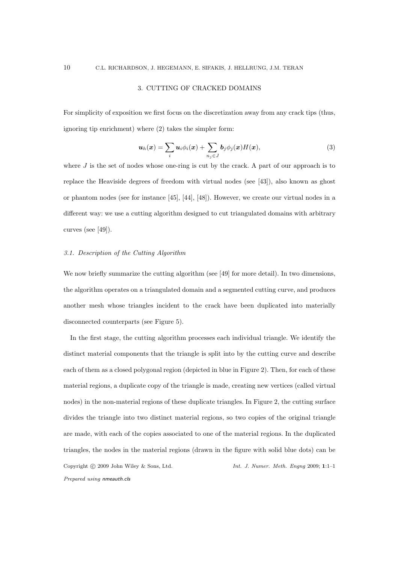#### 3. CUTTING OF CRACKED DOMAINS

For simplicity of exposition we first focus on the discretization away from any crack tips (thus, ignoring tip enrichment) where (2) takes the simpler form:

$$
\boldsymbol{u}_h(\boldsymbol{x}) = \sum_i \boldsymbol{u}_i \phi_i(\boldsymbol{x}) + \sum_{n_j \in J} \boldsymbol{b}_j \phi_j(\boldsymbol{x}) H(\boldsymbol{x}), \qquad (3)
$$

where  $J$  is the set of nodes whose one-ring is cut by the crack. A part of our approach is to replace the Heaviside degrees of freedom with virtual nodes (see [43]), also known as ghost or phantom nodes (see for instance [45], [44], [48]). However, we create our virtual nodes in a different way: we use a cutting algorithm designed to cut triangulated domains with arbitrary curves (see [49]).

# 3.1. Description of the Cutting Algorithm

We now briefly summarize the cutting algorithm (see [49] for more detail). In two dimensions, the algorithm operates on a triangulated domain and a segmented cutting curve, and produces another mesh whose triangles incident to the crack have been duplicated into materially disconnected counterparts (see Figure 5).

In the first stage, the cutting algorithm processes each individual triangle. We identify the distinct material components that the triangle is split into by the cutting curve and describe each of them as a closed polygonal region (depicted in blue in Figure 2). Then, for each of these material regions, a duplicate copy of the triangle is made, creating new vertices (called virtual nodes) in the non-material regions of these duplicate triangles. In Figure 2, the cutting surface divides the triangle into two distinct material regions, so two copies of the original triangle are made, with each of the copies associated to one of the material regions. In the duplicated triangles, the nodes in the material regions (drawn in the figure with solid blue dots) can be Copyright  $\odot$  2009 John Wiley & Sons, Ltd. Int. J. Numer. Meth. Engng 2009; 1:1-1 Prepared using nmeauth.cls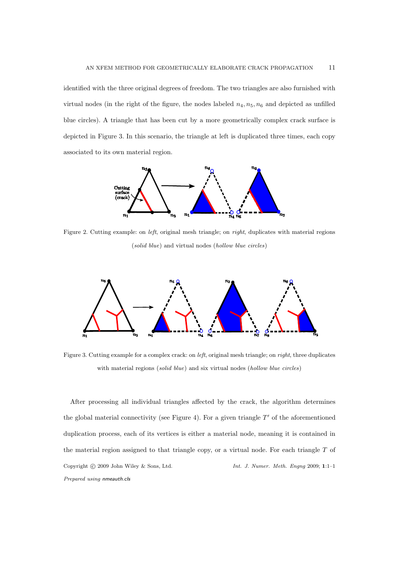identified with the three original degrees of freedom. The two triangles are also furnished with virtual nodes (in the right of the figure, the nodes labeled  $n_4, n_5, n_6$  and depicted as unfilled blue circles). A triangle that has been cut by a more geometrically complex crack surface is depicted in Figure 3. In this scenario, the triangle at left is duplicated three times, each copy associated to its own material region.



Figure 2. Cutting example: on *left*, original mesh triangle; on *right*, duplicates with material regions (solid blue) and virtual nodes (hollow blue circles)



Figure 3. Cutting example for a complex crack: on *left*, original mesh triangle; on *right*, three duplicates with material regions *(solid blue)* and six virtual nodes *(hollow blue circles)* 

After processing all individual triangles affected by the crack, the algorithm determines the global material connectivity (see Figure 4). For a given triangle  $T'$  of the aforementioned duplication process, each of its vertices is either a material node, meaning it is contained in the material region assigned to that triangle copy, or a virtual node. For each triangle  $T$  of Copyright  $\odot$  2009 John Wiley & Sons, Ltd. Int. J. Numer. Meth. Engng 2009; 1:1-1 Prepared using nmeauth.cls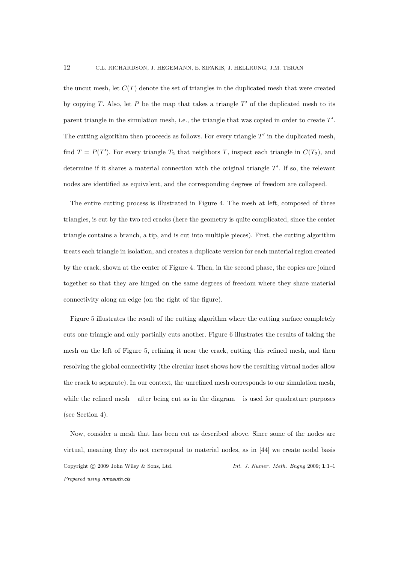the uncut mesh, let  $C(T)$  denote the set of triangles in the duplicated mesh that were created by copying T. Also, let  $P$  be the map that takes a triangle  $T'$  of the duplicated mesh to its parent triangle in the simulation mesh, i.e., the triangle that was copied in order to create  $T'$ . The cutting algorithm then proceeds as follows. For every triangle  $T'$  in the duplicated mesh, find  $T = P(T')$ . For every triangle  $T_2$  that neighbors T, inspect each triangle in  $C(T_2)$ , and determine if it shares a material connection with the original triangle  $T'$ . If so, the relevant nodes are identified as equivalent, and the corresponding degrees of freedom are collapsed.

The entire cutting process is illustrated in Figure 4. The mesh at left, composed of three triangles, is cut by the two red cracks (here the geometry is quite complicated, since the center triangle contains a branch, a tip, and is cut into multiple pieces). First, the cutting algorithm treats each triangle in isolation, and creates a duplicate version for each material region created by the crack, shown at the center of Figure 4. Then, in the second phase, the copies are joined together so that they are hinged on the same degrees of freedom where they share material connectivity along an edge (on the right of the figure).

Figure 5 illustrates the result of the cutting algorithm where the cutting surface completely cuts one triangle and only partially cuts another. Figure 6 illustrates the results of taking the mesh on the left of Figure 5, refining it near the crack, cutting this refined mesh, and then resolving the global connectivity (the circular inset shows how the resulting virtual nodes allow the crack to separate). In our context, the unrefined mesh corresponds to our simulation mesh, while the refined mesh – after being cut as in the diagram – is used for quadrature purposes (see Section 4).

Now, consider a mesh that has been cut as described above. Since some of the nodes are virtual, meaning they do not correspond to material nodes, as in [44] we create nodal basis Copyright  $\odot$  2009 John Wiley & Sons, Ltd. Int. J. Numer. Meth. Engng 2009; 1:1-1 Prepared using nmeauth.cls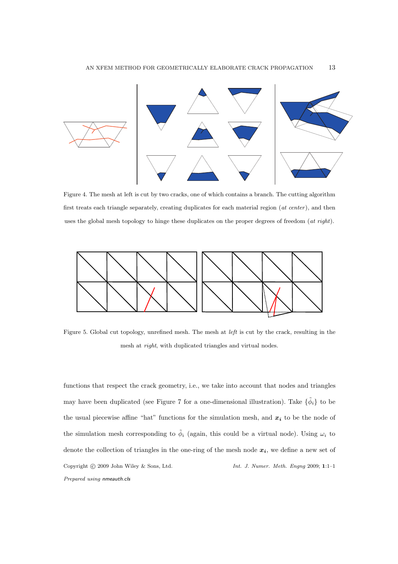

Figure 4. The mesh at left is cut by two cracks, one of which contains a branch. The cutting algorithm first treats each triangle separately, creating duplicates for each material region (at center), and then uses the global mesh topology to hinge these duplicates on the proper degrees of freedom (at right).



Figure 5. Global cut topology, unrefined mesh. The mesh at left is cut by the crack, resulting in the mesh at right, with duplicated triangles and virtual nodes.

functions that respect the crack geometry, i.e., we take into account that nodes and triangles may have been duplicated (see Figure 7 for a one-dimensional illustration). Take  $\{\tilde{\phi}_i\}$  to be the usual piecewise affine "hat" functions for the simulation mesh, and  $x_i$  to be the node of the simulation mesh corresponding to  $\tilde{\phi}_i$  (again, this could be a virtual node). Using  $\omega_i$  to denote the collection of triangles in the one-ring of the mesh node  $x_i$ , we define a new set of Copyright  $\odot$  2009 John Wiley & Sons, Ltd. Int. J. Numer. Meth. Engng 2009; 1:1-1 Prepared using nmeauth.cls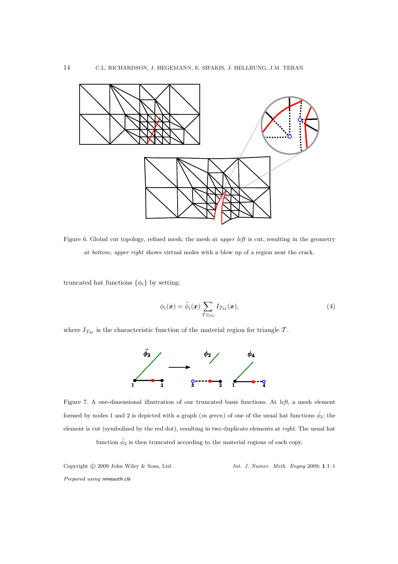

Figure 6. Global cut topology, refined mesh; the mesh at upper left is cut, resulting in the geometry at bottom; upper right shows virtual nodes with a blow up of a region near the crack.

truncated hat functions  $\{\phi_i\}$  by setting:

$$
\phi_i(\boldsymbol{x}) = \tilde{\phi}_i(\boldsymbol{x}) \sum_{\mathcal{T} \in \omega_i} I_{\mathcal{T}_M}(\boldsymbol{x}), \tag{4}
$$

where  $I_{\mathcal{T}_M}$  is the characteristic function of the material region for triangle  $\mathcal{T}.$ 



Figure 7. A one-dimensional illustration of our truncated basis functions. At left, a mesh element formed by nodes 1 and 2 is depicted with a graph (in green) of one of the usual hat functions  $\tilde{\phi_2}$ ; the element is cut (symbolized by the red dot), resulting in two duplicate elements at right. The usual hat function  $\tilde{\phi}_2$  is then truncated according to the material regions of each copy.

Copyright © 2009 John Wiley & Sons, Ltd. Int. J. Numer. Meth. Engng 2009; 1:1-1 Prepared using nmeauth.cls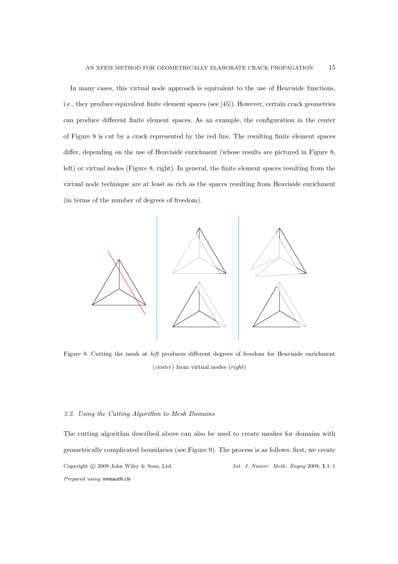In many cases, this virtual node approach is equivalent to the use of Heaviside functions, i.e., they produce equivalent finite element spaces (see [45]). However, certain crack geometries can produce different finite element spaces. As an example, the configuration in the center of Figure 8 is cut by a crack represented by the red line. The resulting finite element spaces differ, depending on the use of Heaviside enrichment (whose results are pictured in Figure 8, left) or virtual nodes (Figure 8, right). In general, the finite element spaces resulting from the virtual node technique are at least as rich as the spaces resulting from Heaviside enrichment (in terms of the number of degrees of freedom).



Figure 8. Cutting the mesh at left produces different degrees of freedom for Heaviside enrichment (center) from virtual nodes (right)

## 3.2. Using the Cutting Algorithm to Mesh Domains

The cutting algorithm described above can also be used to create meshes for domains with geometrically complicated boundaries (see Figure 9). The process is as follows: first, we create Copyright  $\odot$  2009 John Wiley & Sons, Ltd. Int. J. Numer. Meth. Engng 2009; 1:1-1 Prepared using nmeauth.cls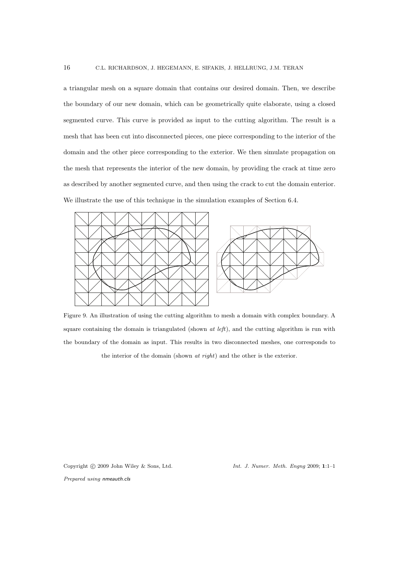a triangular mesh on a square domain that contains our desired domain. Then, we describe the boundary of our new domain, which can be geometrically quite elaborate, using a closed segmented curve. This curve is provided as input to the cutting algorithm. The result is a mesh that has been cut into disconnected pieces, one piece corresponding to the interior of the domain and the other piece corresponding to the exterior. We then simulate propagation on the mesh that represents the interior of the new domain, by providing the crack at time zero as described by another segmented curve, and then using the crack to cut the domain enterior. We illustrate the use of this technique in the simulation examples of Section 6.4.



Figure 9. An illustration of using the cutting algorithm to mesh a domain with complex boundary. A square containing the domain is triangulated (shown  $at \, left$ ), and the cutting algorithm is run with the boundary of the domain as input. This results in two disconnected meshes, one corresponds to the interior of the domain (shown at right) and the other is the exterior.

Copyright  $\odot$  2009 John Wiley & Sons, Ltd. Int. J. Numer. Meth. Engng 2009; 1:1-1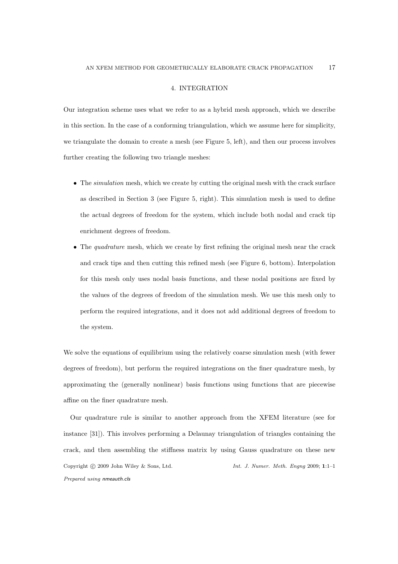#### 4. INTEGRATION

Our integration scheme uses what we refer to as a hybrid mesh approach, which we describe in this section. In the case of a conforming triangulation, which we assume here for simplicity, we triangulate the domain to create a mesh (see Figure 5, left), and then our process involves further creating the following two triangle meshes:

- The simulation mesh, which we create by cutting the original mesh with the crack surface as described in Section 3 (see Figure 5, right). This simulation mesh is used to define the actual degrees of freedom for the system, which include both nodal and crack tip enrichment degrees of freedom.
- The *quadrature* mesh, which we create by first refining the original mesh near the crack and crack tips and then cutting this refined mesh (see Figure 6, bottom). Interpolation for this mesh only uses nodal basis functions, and these nodal positions are fixed by the values of the degrees of freedom of the simulation mesh. We use this mesh only to perform the required integrations, and it does not add additional degrees of freedom to the system.

We solve the equations of equilibrium using the relatively coarse simulation mesh (with fewer degrees of freedom), but perform the required integrations on the finer quadrature mesh, by approximating the (generally nonlinear) basis functions using functions that are piecewise affine on the finer quadrature mesh.

Our quadrature rule is similar to another approach from the XFEM literature (see for instance [31]). This involves performing a Delaunay triangulation of triangles containing the crack, and then assembling the stiffness matrix by using Gauss quadrature on these new Copyright  $\odot$  2009 John Wiley & Sons, Ltd. Int. J. Numer. Meth. Engng 2009; 1:1-1 Prepared using nmeauth.cls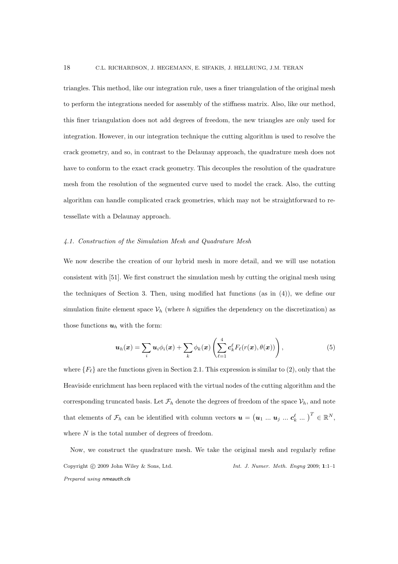triangles. This method, like our integration rule, uses a finer triangulation of the original mesh to perform the integrations needed for assembly of the stiffness matrix. Also, like our method, this finer triangulation does not add degrees of freedom, the new triangles are only used for integration. However, in our integration technique the cutting algorithm is used to resolve the crack geometry, and so, in contrast to the Delaunay approach, the quadrature mesh does not have to conform to the exact crack geometry. This decouples the resolution of the quadrature mesh from the resolution of the segmented curve used to model the crack. Also, the cutting algorithm can handle complicated crack geometries, which may not be straightforward to retessellate with a Delaunay approach.

## 4.1. Construction of the Simulation Mesh and Quadrature Mesh

We now describe the creation of our hybrid mesh in more detail, and we will use notation consistent with [51]. We first construct the simulation mesh by cutting the original mesh using the techniques of Section 3. Then, using modified hat functions (as in (4)), we define our simulation finite element space  $V_h$  (where h signifies the dependency on the discretization) as those functions  $u_h$  with the form:

$$
\boldsymbol{u}_h(\boldsymbol{x}) = \sum_i \boldsymbol{u}_i \phi_i(\boldsymbol{x}) + \sum_k \phi_k(\boldsymbol{x}) \left( \sum_{\ell=1}^4 c_k^{\ell} F_{\ell}(r(\boldsymbol{x}), \theta(\boldsymbol{x})) \right), \qquad (5)
$$

where  ${F_{\ell}}$  are the functions given in Section 2.1. This expression is similar to (2), only that the Heaviside enrichment has been replaced with the virtual nodes of the cutting algorithm and the corresponding truncated basis. Let  $\mathcal{F}_h$  denote the degrees of freedom of the space  $\mathcal{V}_h$ , and note that elements of  $\mathcal{F}_h$  can be identified with column vectors  $\boldsymbol{u} = (\boldsymbol{u}_1 \dots \boldsymbol{u}_j \dots \boldsymbol{c}_k^{\ell} \dots)^T \in \mathbb{R}^N$ , where  $N$  is the total number of degrees of freedom.

Now, we construct the quadrature mesh. We take the original mesh and regularly refine Copyright  $\odot$  2009 John Wiley & Sons, Ltd. Int. J. Numer. Meth. Engng 2009; 1:1-1 Prepared using nmeauth.cls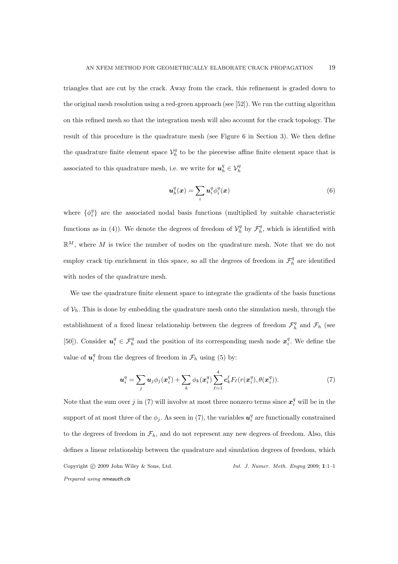triangles that are cut by the crack. Away from the crack, this refinement is graded down to the original mesh resolution using a red-green approach (see [52]). We run the cutting algorithm on this refined mesh so that the integration mesh will also account for the crack topology. The result of this procedure is the quadrature mesh (see Figure 6 in Section 3). We then define the quadrature finite element space  $\mathcal{V}_h^q$  to be the piecewise affine finite element space that is associated to this quadrature mesh, i.e. we write for  $\boldsymbol{u}_h^q \in \mathcal{V}_h^q$ 

$$
\boldsymbol{u}_h^q(\boldsymbol{x}) = \sum_i \boldsymbol{u}_i^q \phi_i^q(\boldsymbol{x}) \tag{6}
$$

where  $\{\phi_i^q\}$  are the associated nodal basis functions (multiplied by suitable characteristic functions as in (4)). We denote the degrees of freedom of  $\mathcal{V}_h^q$  by  $\mathcal{F}_h^q$ , which is identified with  $\mathbb{R}^M$ , where M is twice the number of nodes on the quadrature mesh. Note that we do not employ crack tip enrichment in this space, so all the degrees of freedom in  $\mathcal{F}_h^q$  are identified with nodes of the quadrature mesh.

We use the quadrature finite element space to integrate the gradients of the basis functions of  $V_h$ . This is done by embedding the quadrature mesh onto the simulation mesh, through the establishment of a fixed linear relationship between the degrees of freedom  $\mathcal{F}_h^q$  and  $\mathcal{F}_h$  (see [50]). Consider  $u_i^q \in \mathcal{F}_h^q$  and the position of its corresponding mesh node  $x_i^q$ . We define the value of  $u_i^q$  from the degrees of freedom in  $\mathcal{F}_h$  using (5) by:

$$
\boldsymbol{u}_i^q = \sum_j \boldsymbol{u}_j \phi_j(\boldsymbol{x}_i^q) + \sum_k \phi_k(\boldsymbol{x}_i^q) \sum_{\ell=1}^4 c_k^{\ell} F_{\ell}(r(\boldsymbol{x}_i^q), \theta(\boldsymbol{x}_i^q)). \tag{7}
$$

Note that the sum over j in (7) will involve at most three nonzero terms since  $x_i^q$  will be in the support of at most three of the  $\phi_j$ . As seen in (7), the variables  $u_i^q$  are functionally constrained to the degrees of freedom in  $\mathcal{F}_h$ , and do not represent any new degrees of freedom. Also, this defines a linear relationship between the quadrature and simulation degrees of freedom, which Copyright  $\odot$  2009 John Wiley & Sons, Ltd. Int. J. Numer. Meth. Engng 2009; 1:1-1 Prepared using nmeauth.cls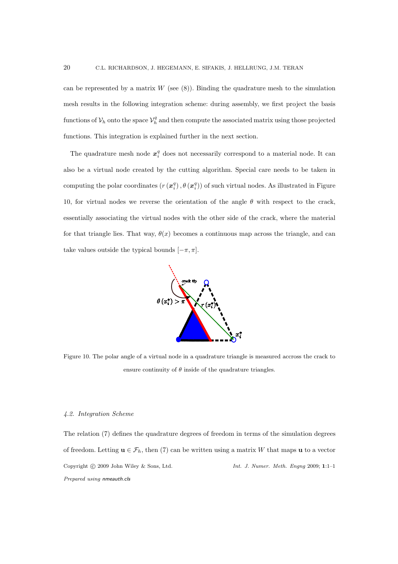can be represented by a matrix  $W$  (see  $(8)$ ). Binding the quadrature mesh to the simulation mesh results in the following integration scheme: during assembly, we first project the basis functions of  $\mathcal{V}_h$  onto the space  $\mathcal{V}_h^q$  and then compute the associated matrix using those projected functions. This integration is explained further in the next section.

The quadrature mesh node  $x_i^q$  does not necessarily correspond to a material node. It can also be a virtual node created by the cutting algorithm. Special care needs to be taken in computing the polar coordinates  $(r(\mathbf{x}_i^q), \theta(\mathbf{x}_i^q))$  of such virtual nodes. As illustrated in Figure 10, for virtual nodes we reverse the orientation of the angle  $\theta$  with respect to the crack, essentially associating the virtual nodes with the other side of the crack, where the material for that triangle lies. That way,  $\theta(x)$  becomes a continuous map across the triangle, and can take values outside the typical bounds  $[-\pi, \pi]$ .



Figure 10. The polar angle of a virtual node in a quadrature triangle is measured accross the crack to ensure continuity of  $\theta$  inside of the quadrature triangles.

#### 4.2. Integration Scheme

The relation (7) defines the quadrature degrees of freedom in terms of the simulation degrees of freedom. Letting  $\mathbf{u} \in \mathcal{F}_h$ , then (7) can be written using a matrix W that maps  $\mathbf{u}$  to a vector Copyright  $\odot$  2009 John Wiley & Sons, Ltd. Int. J. Numer. Meth. Engng 2009; 1:1-1 Prepared using nmeauth.cls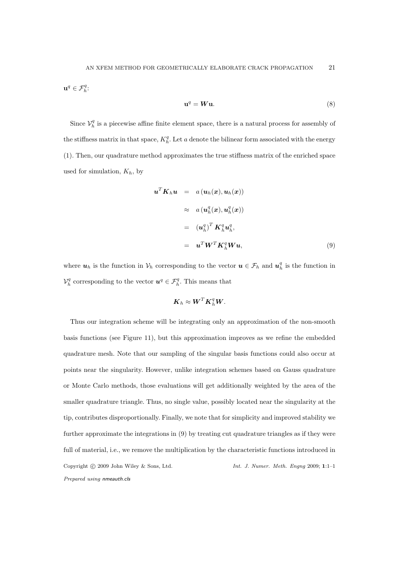$\mathbf{u}^q \in \mathcal{F}_h^q$ :

$$
\mathbf{u}^q = \mathbf{W}\mathbf{u}.\tag{8}
$$

Since  $\mathcal{V}_h^q$  is a piecewise affine finite element space, there is a natural process for assembly of the stiffness matrix in that space,  $K_h^q$ . Let a denote the bilinear form associated with the energy (1). Then, our quadrature method approximates the true stiffness matrix of the enriched space used for simulation,  $K_h$ , by

$$
\mathbf{u}^T \mathbf{K}_h \mathbf{u} = a(\mathbf{u}_h(\mathbf{x}), \mathbf{u}_h(\mathbf{x}))
$$
  
\n
$$
\approx a(\mathbf{u}_h^q(\mathbf{x}), \mathbf{u}_h^q(\mathbf{x}))
$$
  
\n
$$
= (\mathbf{u}_h^q)^T \mathbf{K}_h^q \mathbf{u}_h^q,
$$
  
\n
$$
= \mathbf{u}^T \mathbf{W}^T \mathbf{K}_h^q \mathbf{W} \mathbf{u},
$$
 (9)

where  $u_h$  is the function in  $\mathcal{V}_h$  corresponding to the vector  $u \in \mathcal{F}_h$  and  $u_h^q$  is the function in  $\mathcal{V}_h^q$  corresponding to the vector  $\mathbf{u}^q \in \mathcal{F}_h^q$ . This means that

$$
\boldsymbol{K}_h \approx \boldsymbol{W}^T \boldsymbol{K}_h^q \boldsymbol{W}.
$$

Thus our integration scheme will be integrating only an approximation of the non-smooth basis functions (see Figure 11), but this approximation improves as we refine the embedded quadrature mesh. Note that our sampling of the singular basis functions could also occur at points near the singularity. However, unlike integration schemes based on Gauss quadrature or Monte Carlo methods, those evaluations will get additionally weighted by the area of the smaller quadrature triangle. Thus, no single value, possibly located near the singularity at the tip, contributes disproportionally. Finally, we note that for simplicity and improved stability we further approximate the integrations in (9) by treating cut quadrature triangles as if they were full of material, i.e., we remove the multiplication by the characteristic functions introduced in Copyright  $\odot$  2009 John Wiley & Sons, Ltd. Int. J. Numer. Meth. Engng 2009; 1:1-1 Prepared using nmeauth.cls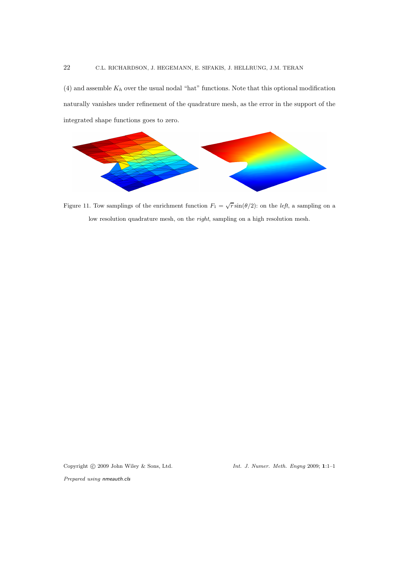(4) and assemble  $K_h$  over the usual nodal "hat" functions. Note that this optional modification naturally vanishes under refinement of the quadrature mesh, as the error in the support of the integrated shape functions goes to zero.



Figure 11. Tow samplings of the enrichment function  $F_1 = \sqrt{r} \sin(\theta/2)$ : on the *left*, a sampling on a low resolution quadrature mesh, on the *right*, sampling on a high resolution mesh.

Copyright  $\odot$  2009 John Wiley & Sons, Ltd. Int. J. Numer. Meth. Engng 2009; 1:1-1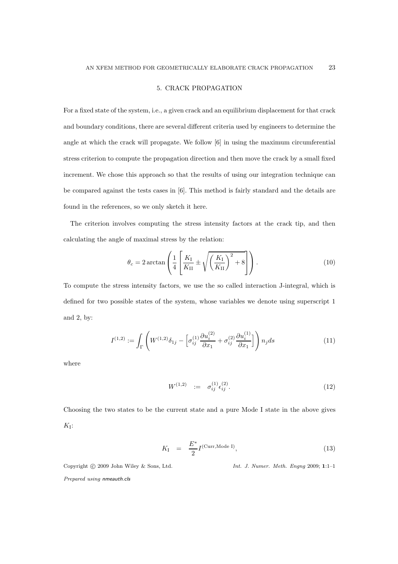#### 5. CRACK PROPAGATION

For a fixed state of the system, i.e., a given crack and an equilibrium displacement for that crack and boundary conditions, there are several different criteria used by engineers to determine the angle at which the crack will propagate. We follow [6] in using the maximum circumferential stress criterion to compute the propagation direction and then move the crack by a small fixed increment. We chose this approach so that the results of using our integration technique can be compared against the tests cases in [6]. This method is fairly standard and the details are found in the references, so we only sketch it here.

The criterion involves computing the stress intensity factors at the crack tip, and then calculating the angle of maximal stress by the relation:

$$
\theta_c = 2 \arctan\left(\frac{1}{4} \left[ \frac{K_{\rm I}}{K_{\rm II}} \pm \sqrt{\left(\frac{K_{\rm I}}{K_{\rm II}}\right)^2 + 8} \right] \right). \tag{10}
$$

To compute the stress intensity factors, we use the so called interaction J-integral, which is defined for two possible states of the system, whose variables we denote using superscript 1 and 2, by:

$$
I^{(1,2)} := \int_{\Gamma} \left( W^{(1,2)} \delta_{1j} - \left[ \sigma_{ij}^{(1)} \frac{\partial u_i^{(2)}}{\partial x_1} + \sigma_{ij}^{(2)} \frac{\partial u_i^{(1)}}{\partial x_1} \right] \right) n_j ds \tag{11}
$$

where

$$
W^{(1,2)} := \sigma_{ij}^{(1)} \epsilon_{ij}^{(2)}.
$$
\n(12)

Choosing the two states to be the current state and a pure Mode I state in the above gives  $K_I$ :

$$
K_{\rm I} = \frac{E^*}{2} I^{\text{(Curr, Mode I)}}, \qquad (13)
$$

Copyright  $\odot$  2009 John Wiley & Sons, Ltd. Int. J. Numer. Meth. Engng 2009; 1:1-1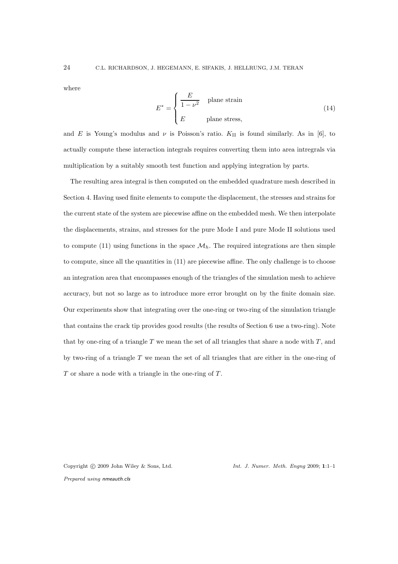where

$$
E^* = \begin{cases} \frac{E}{1 - \nu^2} & \text{plane strain} \\ E & \text{plane stress,} \end{cases}
$$
 (14)

and E is Young's modulus and  $\nu$  is Poisson's ratio.  $K_{II}$  is found similarly. As in [6], to actually compute these interaction integrals requires converting them into area intregrals via multiplication by a suitably smooth test function and applying integration by parts.

The resulting area integral is then computed on the embedded quadrature mesh described in Section 4. Having used finite elements to compute the displacement, the stresses and strains for the current state of the system are piecewise affine on the embedded mesh. We then interpolate the displacements, strains, and stresses for the pure Mode I and pure Mode II solutions used to compute (11) using functions in the space  $\mathcal{M}_h$ . The required integrations are then simple to compute, since all the quantities in (11) are piecewise affine. The only challenge is to choose an integration area that encompasses enough of the triangles of the simulation mesh to achieve accuracy, but not so large as to introduce more error brought on by the finite domain size. Our experiments show that integrating over the one-ring or two-ring of the simulation triangle that contains the crack tip provides good results (the results of Section 6 use a two-ring). Note that by one-ring of a triangle T we mean the set of all triangles that share a node with  $T$ , and by two-ring of a triangle  $T$  we mean the set of all triangles that are either in the one-ring of  $T$  or share a node with a triangle in the one-ring of  $T$ .

Copyright  $\odot$  2009 John Wiley & Sons, Ltd. Int. J. Numer. Meth. Engng 2009; 1:1-1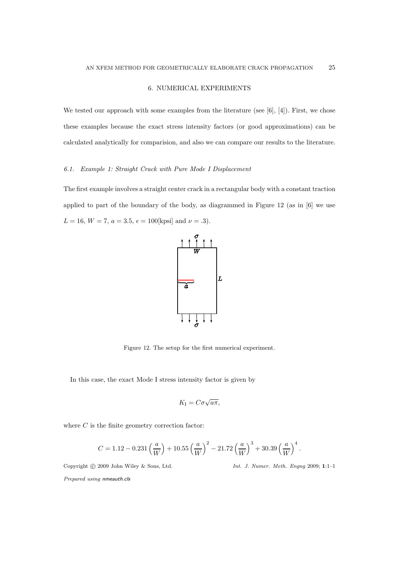## 6. NUMERICAL EXPERIMENTS

We tested our approach with some examples from the literature (see  $[6]$ ,  $[4]$ ). First, we chose these examples because the exact stress intensity factors (or good approximations) can be calculated analytically for comparision, and also we can compare our results to the literature.

## 6.1. Example 1: Straight Crack with Pure Mode I Displacement

The first example involves a straight center crack in a rectangular body with a constant traction applied to part of the boundary of the body, as diagrammed in Figure 12 (as in [6] we use  $L = 16$ ,  $W = 7$ ,  $a = 3.5$ ,  $\epsilon = 100$ [kpsi] and  $\nu = .3$ ).



Figure 12. The setup for the first numerical experiment.

In this case, the exact Mode I stress intensity factor is given by

$$
K_{\rm I}=C\sigma\sqrt{a\pi},
$$

where  $C$  is the finite geometry correction factor:

$$
C = 1.12 - 0.231 \left(\frac{a}{W}\right) + 10.55 \left(\frac{a}{W}\right)^2 - 21.72 \left(\frac{a}{W}\right)^3 + 30.39 \left(\frac{a}{W}\right)^4.
$$

Copyright  $\odot$  2009 John Wiley & Sons, Ltd. Int. J. Numer. Meth. Engng 2009; 1:1-1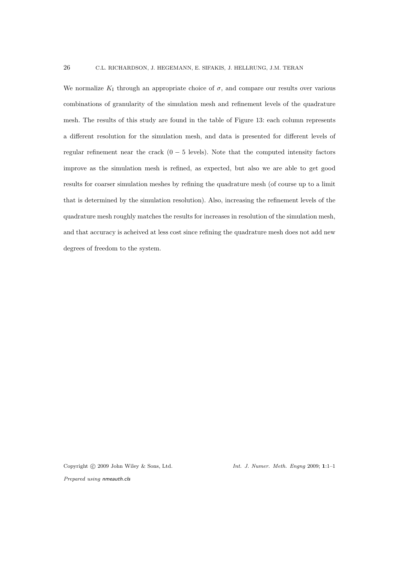We normalize  $K_I$  through an appropriate choice of  $\sigma$ , and compare our results over various combinations of granularity of the simulation mesh and refinement levels of the quadrature mesh. The results of this study are found in the table of Figure 13: each column represents a different resolution for the simulation mesh, and data is presented for different levels of regular refinement near the crack  $(0 - 5$  levels). Note that the computed intensity factors improve as the simulation mesh is refined, as expected, but also we are able to get good results for coarser simulation meshes by refining the quadrature mesh (of course up to a limit that is determined by the simulation resolution). Also, increasing the refinement levels of the quadrature mesh roughly matches the results for increases in resolution of the simulation mesh, and that accuracy is acheived at less cost since refining the quadrature mesh does not add new degrees of freedom to the system.

Copyright  $\odot$  2009 John Wiley & Sons, Ltd. Int. J. Numer. Meth. Engng 2009; 1:1-1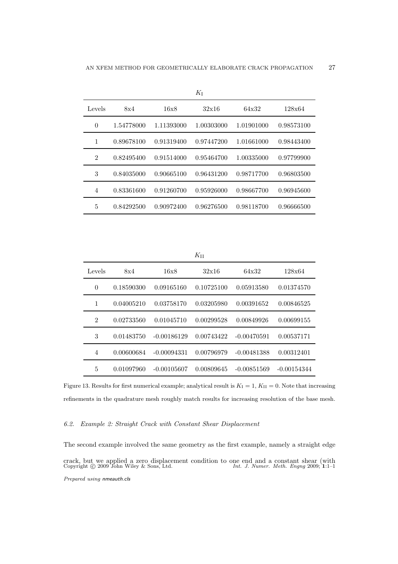| ΛJ             |            |            |            |            |            |
|----------------|------------|------------|------------|------------|------------|
| Levels         | 8x4        | 16x8       | 32x16      | 64x32      | 128x64     |
| $\theta$       | 1.54778000 | 1.11393000 | 1.00303000 | 1.01901000 | 0.98573100 |
| 1              | 0.89678100 | 0.91319400 | 0.97447200 | 1.01661000 | 0.98443400 |
| $\overline{2}$ | 0.82495400 | 0.91514000 | 0.95464700 | 1.00335000 | 0.97799900 |
| 3              | 0.84035000 | 0.90665100 | 0.96431200 | 0.98717700 | 0.96803500 |
| 4              | 0.83361600 | 0.91260700 | 0.95926000 | 0.98667700 | 0.96945600 |
| 5              | 0.84292500 | 0.90972400 | 0.96276500 | 0.98118700 | 0.96666500 |

 $\overline{L}$ 

 $K_{\text{II}}$ 

| Levels         | 8x4        | 16x8          | 32x16      | 64x32         | 128x64        |
|----------------|------------|---------------|------------|---------------|---------------|
| $\overline{0}$ | 0.18590300 | 0.09165160    | 0.10725100 | 0.05913580    | 0.01374570    |
| 1              | 0.04005210 | 0.03758170    | 0.03205980 | 0.00391652    | 0.00846525    |
| $\overline{2}$ | 0.02733560 | 0.01045710    | 0.00299528 | 0.00849926    | 0.00699155    |
| 3              | 0.01483750 | $-0.00186129$ | 0.00743422 | $-0.00470591$ | 0.00537171    |
| $\overline{4}$ | 0.00600684 | $-0.00094331$ | 0.00796979 | $-0.00481388$ | 0.00312401    |
| 5              | 0.01097960 | $-0.00105607$ | 0.00809645 | $-0.00851569$ | $-0.00154344$ |

Figure 13. Results for first numerical example; analytical result is  $K_I = 1$ ,  $K_{II} = 0$ . Note that increasing refinements in the quadrature mesh roughly match results for increasing resolution of the base mesh.

# 6.2. Example 2: Straight Crack with Constant Shear Displacement

The second example involved the same geometry as the first example, namely a straight edge crack, but we applied a zero displacement condition to one end and a constant shear (with Copyright  $\odot$  2009 John Wiley & Sons, Ltd.  $Int. J. Numer. Meth.$  Engng 2009; 1:1–1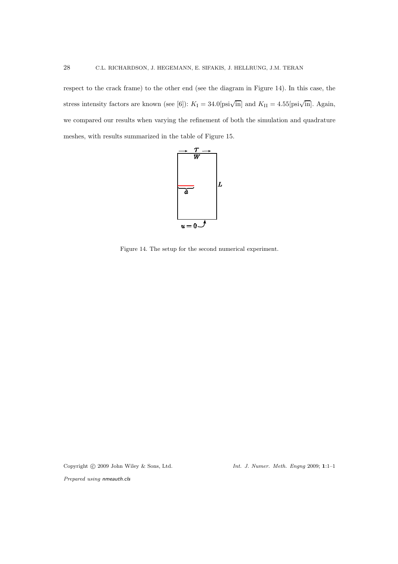respect to the crack frame) to the other end (see the diagram in Figure 14). In this case, the stress intensity factors are known (see [6]):  $K_{\rm I} = 34.0$  [psi $\sqrt{\text{in}}$ ] and  $K_{\rm II} = 4.55$  [psi $\sqrt{\text{in}}$ ]. Again, we compared our results when varying the refinement of both the simulation and quadrature meshes, with results summarized in the table of Figure 15.



Figure 14. The setup for the second numerical experiment.

Copyright © 2009 John Wiley & Sons, Ltd. Int. J. Numer. Meth. Engng 2009; 1:1-1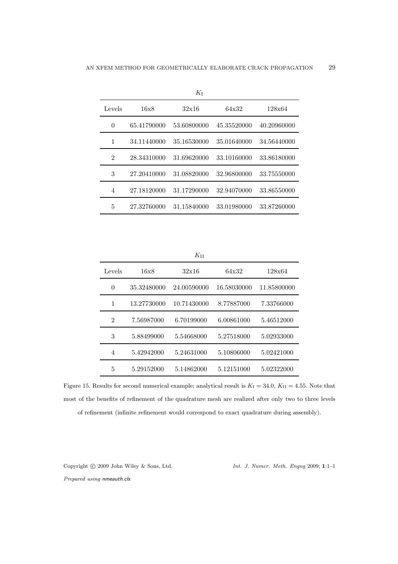|                |             | $K_{\rm I}$ |             |             |
|----------------|-------------|-------------|-------------|-------------|
| Levels         | 16x8        | 32x16       | 64x32       | 128x64      |
| $\theta$       | 65.41790000 | 53.60800000 | 45.35520000 | 40.20960000 |
| 1              | 34.11440000 | 35.16530000 | 35.01640000 | 34.56440000 |
| $\mathfrak{D}$ | 28.34310000 | 31.69620000 | 33.10160000 | 33.86180000 |
| 3              | 27.20410000 | 31.08820000 | 32.96800000 | 33.75550000 |
| 4              | 27.18120000 | 31.17290000 | 32.94070000 | 33.86550000 |
| 5              | 27.32760000 | 31.15840000 | 33.01980000 | 33.87260000 |

 $K_{\rm II}$ 

| Levels         | 16x8        | 32x16       | 64x32       | 128x64      |
|----------------|-------------|-------------|-------------|-------------|
| $\theta$       | 35.32480000 | 24.00590000 | 16.58030000 | 11.85800000 |
| 1              | 13.27730000 | 10.71430000 | 8.77887000  | 7.33766000  |
| $\overline{2}$ | 7.56987000  | 6.70199000  | 6.00861000  | 5.46512000  |
| 3              | 5.88499000  | 5.54668000  | 5.27518000  | 5.02933000  |
| 4              | 5.42942000  | 5.24631000  | 5.10806000  | 5.02421000  |
| 5              | 5.29152000  | 5.14862000  | 5.12151000  | 5.02322000  |

Figure 15. Results for second numerical example; analytical result is  $K_I = 34.0, K_{II} = 4.55$ . Note that most of the benefits of refinement of the quadrature mesh are realized after only two to three levels of refinement (infinite refinement would correspond to exact quadrature during assembly).

Copyright  $\odot$  2009 John Wiley & Sons, Ltd. Int. J. Numer. Meth. Engng 2009; 1:1-1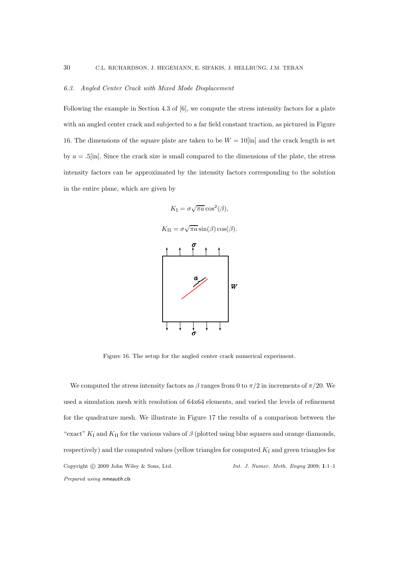#### 6.3. Angled Center Crack with Mixed Mode Displacement

Following the example in Section 4.3 of [6], we compute the stress intensity factors for a plate with an angled center crack and subjected to a far field constant traction, as pictured in Figure 16. The dimensions of the square plate are taken to be  $W = 10$ [in] and the crack length is set by  $a = .5$ [in]. Since the crack size is small compared to the dimensions of the plate, the stress intensity factors can be approximated by the intensity factors corresponding to the solution in the entire plane, which are given by



Figure 16. The setup for the angled center crack numerical experiment.

We computed the stress intensity factors as  $\beta$  ranges from 0 to  $\pi/2$  in increments of  $\pi/20$ . We used a simulation mesh with resolution of 64x64 elements, and varied the levels of refinement for the quadrature mesh. We illustrate in Figure 17 the results of a comparison between the "exact"  $K_I$  and  $K_{II}$  for the various values of  $\beta$  (plotted using blue squares and orange diamonds, respectively) and the computed values (yellow triangles for computed  $K_I$  and green triangles for Copyright © 2009 John Wiley & Sons, Ltd. Int. J. Numer. Meth. Engng 2009; 1:1-1 Prepared using nmeauth.cls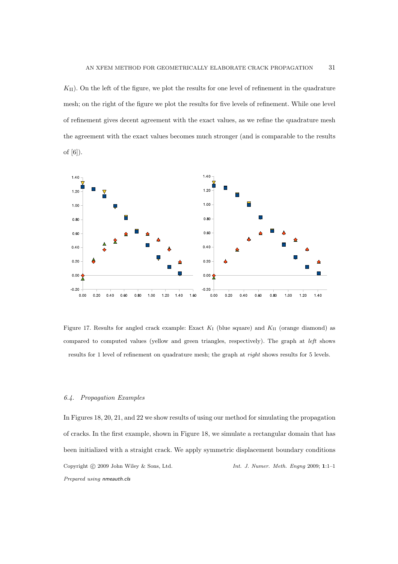$K_{\text{II}}$ ). On the left of the figure, we plot the results for one level of refinement in the quadrature mesh; on the right of the figure we plot the results for five levels of refinement. While one level of refinement gives decent agreement with the exact values, as we refine the quadrature mesh the agreement with the exact values becomes much stronger (and is comparable to the results of [6]).



Figure 17. Results for angled crack example: Exact  $K_I$  (blue square) and  $K_{II}$  (orange diamond) as compared to computed values (yellow and green triangles, respectively). The graph at left shows results for 1 level of refinement on quadrature mesh; the graph at right shows results for 5 levels.

#### 6.4. Propagation Examples

In Figures 18, 20, 21, and 22 we show results of using our method for simulating the propagation of cracks. In the first example, shown in Figure 18, we simulate a rectangular domain that has been initialized with a straight crack. We apply symmetric displacement boundary conditions Copyright  $\odot$  2009 John Wiley & Sons, Ltd. Int. J. Numer. Meth. Engng 2009; 1:1-1 Prepared using nmeauth.cls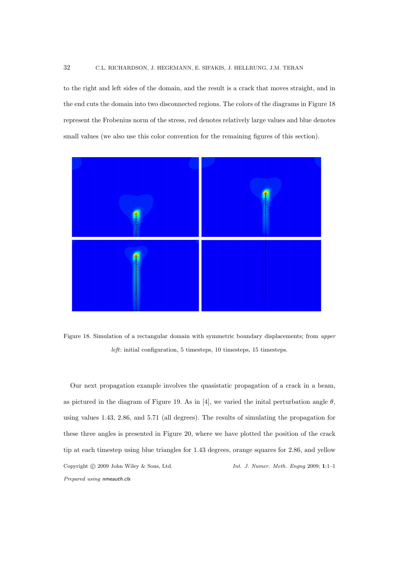to the right and left sides of the domain, and the result is a crack that moves straight, and in the end cuts the domain into two disconnected regions. The colors of the diagrams in Figure 18 represent the Frobenius norm of the stress, red denotes relatively large values and blue denotes small values (we also use this color convention for the remaining figures of this section).



Figure 18. Simulation of a rectangular domain with symmetric boundary displacements; from upper left: initial configuration, 5 timesteps, 10 timesteps, 15 timesteps.

Our next propagation example involves the quasistatic propagation of a crack in a beam, as pictured in the diagram of Figure 19. As in [4], we varied the initial perturbation angle  $\theta$ , using values 1.43, 2.86, and 5.71 (all degrees). The results of simulating the propagation for these three angles is presented in Figure 20, where we have plotted the position of the crack tip at each timestep using blue triangles for 1.43 degrees, orange squares for 2.86, and yellow Copyright  $\odot$  2009 John Wiley & Sons, Ltd. Int. J. Numer. Meth. Engng 2009; 1:1-1 Prepared using nmeauth.cls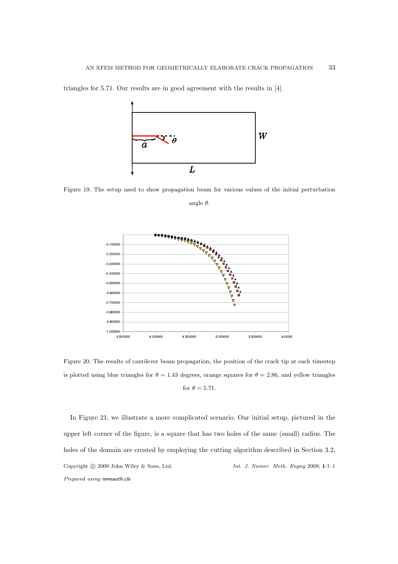

triangles for 5.71. Our results are in good agreement with the results in [4].

Figure 19. The setup used to show propagation beam for various values of the initial perturbation

angle  $\theta$ .



Figure 20. The results of cantilever beam propagation; the position of the crack tip at each timestep is plotted using blue triangles for  $\theta = 1.43$  degrees, orange squares for  $\theta = 2.86$ , and yellow triangles for  $\theta = 5.71$ .

In Figure 21, we illustrate a more complicated scenario. Our initial setup, pictured in the upper left corner of the figure, is a square that has two holes of the same (small) radius. The holes of the domain are created by employing the cutting algorithm described in Section 3.2, Copyright  $\odot$  2009 John Wiley & Sons, Ltd. Int. J. Numer. Meth. Engng 2009; 1:1-1 Prepared using nmeauth.cls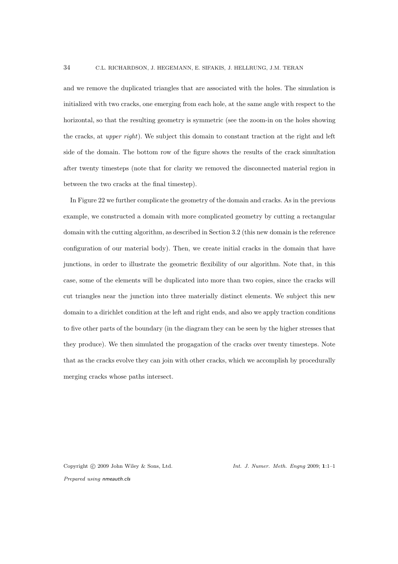and we remove the duplicated triangles that are associated with the holes. The simulation is initialized with two cracks, one emerging from each hole, at the same angle with respect to the horizontal, so that the resulting geometry is symmetric (see the zoom-in on the holes showing the cracks, at upper right). We subject this domain to constant traction at the right and left side of the domain. The bottom row of the figure shows the results of the crack simultation after twenty timesteps (note that for clarity we removed the disconnected material region in between the two cracks at the final timestep).

In Figure 22 we further complicate the geometry of the domain and cracks. As in the previous example, we constructed a domain with more complicated geometry by cutting a rectangular domain with the cutting algorithm, as described in Section 3.2 (this new domain is the reference configuration of our material body). Then, we create initial cracks in the domain that have junctions, in order to illustrate the geometric flexibility of our algorithm. Note that, in this case, some of the elements will be duplicated into more than two copies, since the cracks will cut triangles near the junction into three materially distinct elements. We subject this new domain to a dirichlet condition at the left and right ends, and also we apply traction conditions to five other parts of the boundary (in the diagram they can be seen by the higher stresses that they produce). We then simulated the progagation of the cracks over twenty timesteps. Note that as the cracks evolve they can join with other cracks, which we accomplish by procedurally merging cracks whose paths intersect.

Prepared using nmeauth.cls

Copyright  $\odot$  2009 John Wiley & Sons, Ltd. Int. J. Numer. Meth. Engng 2009; 1:1-1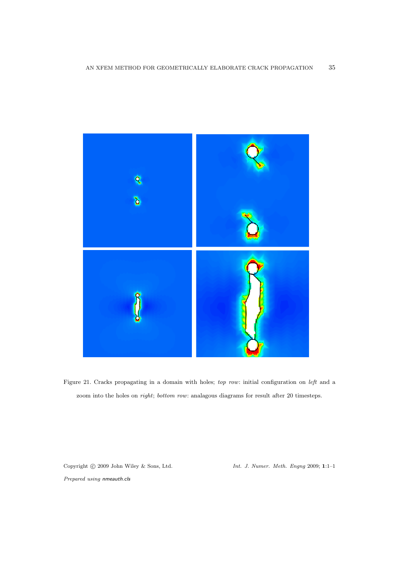

Figure 21. Cracks propagating in a domain with holes; top row: initial configuration on left and a zoom into the holes on right; bottom row: analagous diagrams for result after 20 timesteps.

Copyright © 2009 John Wiley & Sons, Ltd. Int. J. Numer. Meth. Engng 2009; 1:1-1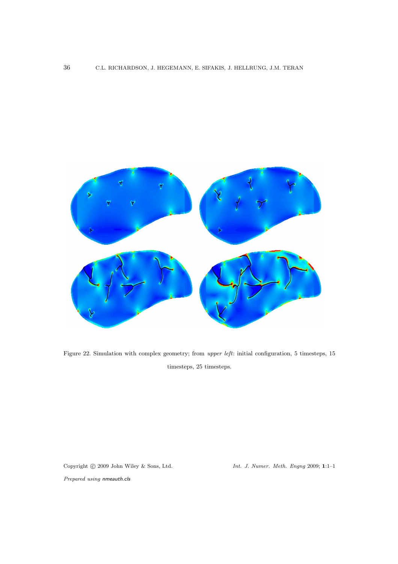

Figure 22. Simulation with complex geometry; from upper left: initial configuration, 5 timesteps, 15 timesteps, 25 timesteps.

Prepared using nmeauth.cls

Copyright © 2009 John Wiley & Sons, Ltd. Int. J. Numer. Meth. Engng 2009; 1:1-1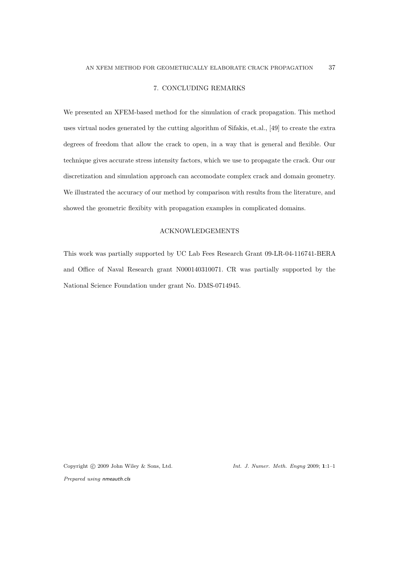# 7. CONCLUDING REMARKS

We presented an XFEM-based method for the simulation of crack propagation. This method uses virtual nodes generated by the cutting algorithm of Sifakis, et.al., [49] to create the extra degrees of freedom that allow the crack to open, in a way that is general and flexible. Our technique gives accurate stress intensity factors, which we use to propagate the crack. Our our discretization and simulation approach can accomodate complex crack and domain geometry. We illustrated the accuracy of our method by comparison with results from the literature, and showed the geometric flexibity with propagation examples in complicated domains.

## ACKNOWLEDGEMENTS

This work was partially supported by UC Lab Fees Research Grant 09-LR-04-116741-BERA and Office of Naval Research grant N000140310071. CR was partially supported by the National Science Foundation under grant No. DMS-0714945.

Copyright  $\odot$  2009 John Wiley & Sons, Ltd. Int. J. Numer. Meth. Engng 2009; 1:1-1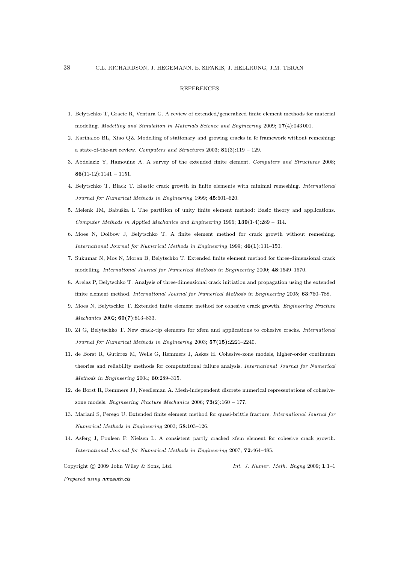#### REFERENCES

- 1. Belytschko T, Gracie R, Ventura G. A review of extended/generalized finite element methods for material modeling. Modelling and Simulation in Materials Science and Engineering 2009; 17(4):043 001.
- 2. Karihaloo BL, Xiao QZ. Modelling of stationary and growing cracks in fe framework without remeshing: a state-of-the-art review. Computers and Structures 2003;  $81(3):119 - 129$ .
- 3. Abdelaziz Y, Hamouine A. A survey of the extended finite element. Computers and Structures 2008;  $86(11-12):1141 - 1151.$
- 4. Belytschko T, Black T. Elastic crack growth in finite elements with minimal remeshing. International Journal for Numerical Methods in Engineering 1999; 45:601–620.
- 5. Melenk JM, Babuška I. The partition of unity finite element method: Basic theory and applications. Computer Methods in Applied Mechanics and Engineering 1996;  $139(1-4):289 - 314$ .
- 6. Moes N, Dolbow J, Belytschko T. A finite element method for crack growth without remeshing. International Journal for Numerical Methods in Engineering 1999; 46(1):131–150.
- 7. Sukumar N, Mos N, Moran B, Belytschko T. Extended finite element method for three-dimensional crack modelling. International Journal for Numerical Methods in Engineering 2000; 48:1549–1570.
- 8. Areias P, Belytschko T. Analysis of three-dimensional crack initiation and propagation using the extended finite element method. International Journal for Numerical Methods in Engineering 2005; 63:760–788.
- 9. Moes N, Belytschko T. Extended finite element method for cohesive crack growth. Engineering Fracture Mechanics 2002; 69(7):813–833.
- 10. Zi G, Belytschko T. New crack-tip elements for xfem and applications to cohesive cracks. International Journal for Numerical Methods in Engineering 2003; 57(15):2221–2240.
- 11. de Borst R, Gutirrez M, Wells G, Remmers J, Askes H. Cohesive-zone models, higher-order continuum theories and reliability methods for computational failure analysis. International Journal for Numerical Methods in Engineering 2004; 60:289–315.
- 12. de Borst R, Remmers JJ, Needleman A. Mesh-independent discrete numerical representations of cohesivezone models. Engineering Fracture Mechanics 2006;  $73(2):160 - 177$ .
- 13. Mariani S, Perego U. Extended finite element method for quasi-brittle fracture. International Journal for Numerical Methods in Engineering 2003; 58:103–126.
- 14. Asferg J, Poulsen P, Nielsen L. A consistent partly cracked xfem element for cohesive crack growth. International Journal for Numerical Methods in Engineering 2007; 72:464–485.

Copyright  $\odot$  2009 John Wiley & Sons, Ltd. Int. J. Numer. Meth. Engng 2009; 1:1-1 Prepared using nmeauth.cls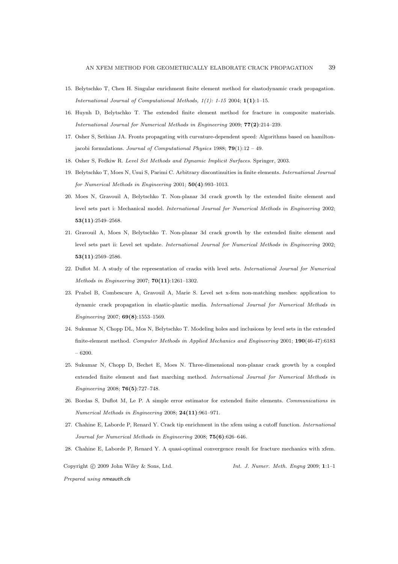- 15. Belytschko T, Chen H. Singular enrichment finite element method for elastodynamic crack propagation. International Journal of Computational Methods, 1(1): 1-15 2004; 1(1):1–15.
- 16. Huynh D, Belytschko T. The extended finite element method for fracture in composite materials. International Journal for Numerical Methods in Engineering 2009; 77(2):214–239.
- 17. Osher S, Sethian JA. Fronts propagating with curvature-dependent speed: Algorithms based on hamiltonjacobi formulations. Journal of Computational Physics 1988;  $79(1):12 - 49$ .
- 18. Osher S, Fedkiw R. Level Set Methods and Dynamic Implicit Surfaces. Springer, 2003.
- 19. Belytschko T, Moes N, Usui S, Parimi C. Arbitrary discontinuities in finite elements. International Journal for Numerical Methods in Engineering 2001; 50(4):993–1013.
- 20. Moes N, Gravouil A, Belytschko T. Non-planar 3d crack growth by the extended finite element and level sets part i: Mechanical model. International Journal for Numerical Methods in Engineering 2002; 53(11):2549–2568.
- 21. Gravouil A, Moes N, Belytschko T. Non-planar 3d crack growth by the extended finite element and level sets part ii: Level set update. International Journal for Numerical Methods in Engineering 2002; 53(11):2569–2586.
- 22. Duflot M. A study of the representation of cracks with level sets. International Journal for Numerical Methods in Engineering 2007; 70(11):1261–1302.
- 23. Prabel B, Combescure A, Gravouil A, Marie S. Level set x-fem non-matching meshes: application to dynamic crack propagation in elastic-plastic media. International Journal for Numerical Methods in Engineering 2007; 69(8):1553–1569.
- 24. Sukumar N, Chopp DL, Mos N, Belytschko T. Modeling holes and inclusions by level sets in the extended finite-element method. Computer Methods in Applied Mechanics and Engineering 2001; 190(46-47):6183 – 6200.
- 25. Sukumar N, Chopp D, Bechet E, Moes N. Three-dimensional non-planar crack growth by a coupled extended finite element and fast marching method. International Journal for Numerical Methods in Engineering 2008; 76(5):727–748.
- 26. Bordas S, Duflot M, Le P. A simple error estimator for extended finite elements. Communications in Numerical Methods in Engineering 2008; 24(11):961–971.
- 27. Chahine E, Laborde P, Renard Y. Crack tip enrichment in the xfem using a cutoff function. International Journal for Numerical Methods in Engineering 2008; 75(6):626–646.
- 28. Chahine E, Laborde P, Renard Y. A quasi-optimal convergence result for fracture mechanics with xfem.

Copyright  $\odot$  2009 John Wiley & Sons, Ltd. Int. J. Numer. Meth. Engng 2009; 1:1-1 Prepared using nmeauth.cls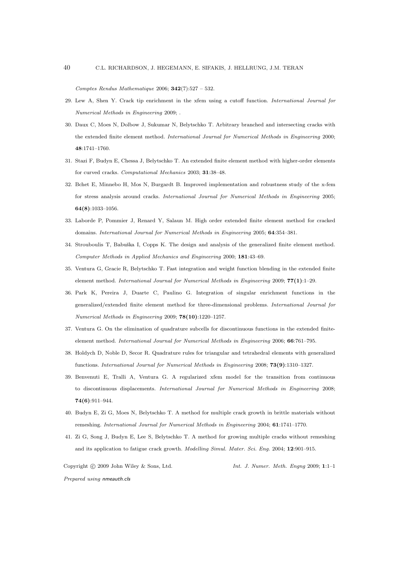Comptes Rendus Mathematique 2006;  $342(7):527 - 532$ .

- 29. Lew A, Shen Y. Crack tip enrichment in the xfem using a cutoff function. International Journal for Numerical Methods in Engineering 2009; .
- 30. Daux C, Moes N, Dolbow J, Sukumar N, Belytschko T. Arbitrary branched and intersecting cracks with the extended finite element method. International Journal for Numerical Methods in Engineering 2000; 48:1741–1760.
- 31. Stazi F, Budyn E, Chessa J, Belytschko T. An extended finite element method with higher-order elements for curved cracks. Computational Mechanics 2003; 31:38–48.
- 32. Bchet E, Minnebo H, Mos N, Burgardt B. Improved implementation and robustness study of the x-fem for stress analysis around cracks. International Journal for Numerical Methods in Engineering 2005; 64(8):1033–1056.
- 33. Laborde P, Pommier J, Renard Y, Salaun M. High order extended finite element method for cracked domains. International Journal for Numerical Methods in Engineering 2005; 64:354–381.
- 34. Strouboulis T, Babuška I, Copps K. The design and analysis of the generalized finite element method. Computer Methods in Applied Mechanics and Engineering 2000; 181:43–69.
- 35. Ventura G, Gracie R, Belytschko T. Fast integration and weight function blending in the extended finite element method. International Journal for Numerical Methods in Engineering 2009; 77(1):1–29.
- 36. Park K, Pereira J, Duarte C, Paulino G. Integration of singular enrichment functions in the generalized/extended finite element method for three-dimensional problems. International Journal for Numerical Methods in Engineering 2009; 78(10):1220–1257.
- 37. Ventura G. On the elimination of quadrature subcells for discontinuous functions in the extended finiteelement method. International Journal for Numerical Methods in Engineering 2006; 66:761–795.
- 38. Holdych D, Noble D, Secor R. Quadrature rules for triangular and tetrahedral elements with generalized functions. International Journal for Numerical Methods in Engineering 2008; 73(9):1310–1327.
- 39. Benvenuti E, Tralli A, Ventura G. A regularized xfem model for the transition from continuous to discontinuous displacements. International Journal for Numerical Methods in Engineering 2008; 74(6):911–944.
- 40. Budyn E, Zi G, Moes N, Belytschko T. A method for multiple crack growth in brittle materials without remeshing. International Journal for Numerical Methods in Engineering 2004; 61:1741–1770.
- 41. Zi G, Song J, Budyn E, Lee S, Belytschko T. A method for growing multiple cracks without remeshing and its application to fatigue crack growth. Modelling Simul. Mater. Sci. Eng. 2004; 12:901–915.

Copyright © 2009 John Wiley & Sons, Ltd. Int. J. Numer. Meth. Engng 2009; 1:1–1 Prepared using nmeauth.cls